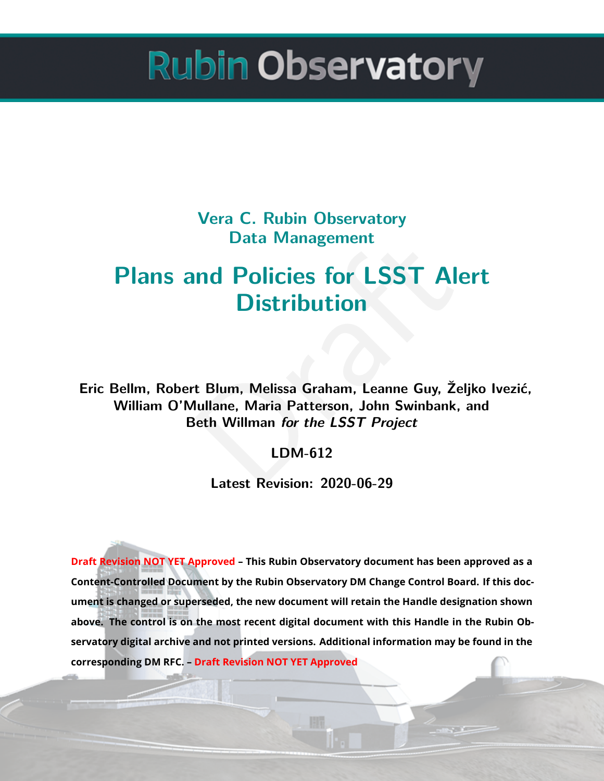**Vera C. Rubin Observatory Data Management**

# Data Management<br> **nd Policies for LSST Ales<br>
Distribution**<br>
t Blum, Melissa Graham, Leanne Guy, Željl<br>
lullane, Maria Patterson, John Swinbank, a<br>
leth Willman *for the LSST Project*<br>
LDM-612<br>
Latest Revision: 2020-06-29 **Plans and Policies for LSST Alert Distribution**

**Eric Bellm, Robert Blum, Melissa Graham, Leanne Guy, Željko Ivezić, William O'Mullane, Maria Patterson, John Swinbank, and Beth Willman** *for the LSST Project*

**LDM-612**

**Latest Revision: 2020-06-29**

**Draft Revision NOT YET Approved – This Rubin Observatory document has been approved as a Content-Controlled Document by the Rubin Observatory DM Change Control Board. If this document is changed or superseded, the new document will retain the Handle designation shown above. The control is on the most recent digital document with this Handle in the Rubin Observatory digital archive and not printed versions. Additional information may be found in the corresponding DM RFC. – Draft Revision NOT YET Approved**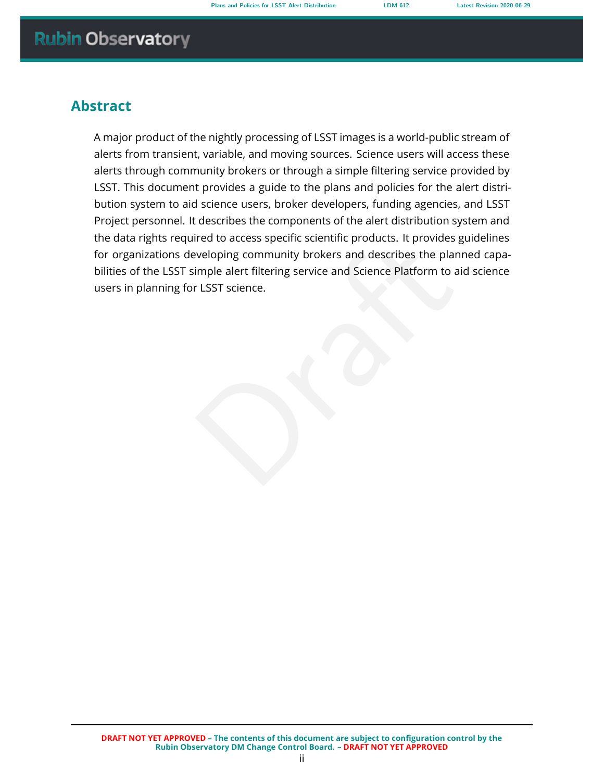# **Abstract**

The diversion of the Specific Science products. It provides guide<br>eveloping community brokers and describes the planne<br>imple alert filtering service and Science Platform to aid :<br>r LSST science. A major product of the nightly processing of LSST images is a world-public stream of alerts from transient, variable, and moving sources. Science users will access these alerts through community brokers or through a simple filtering service provided by LSST. This document provides a guide to the plans and policies for the alert distribution system to aid science users, broker developers, funding agencies, and LSST Project personnel. It describes the components of the alert distribution system and the data rights required to access specific scientific products. It provides guidelines for organizations developing community brokers and describes the planned capabilities of the LSST simple alert filtering service and Science Platform to aid science users in planning for LSST science.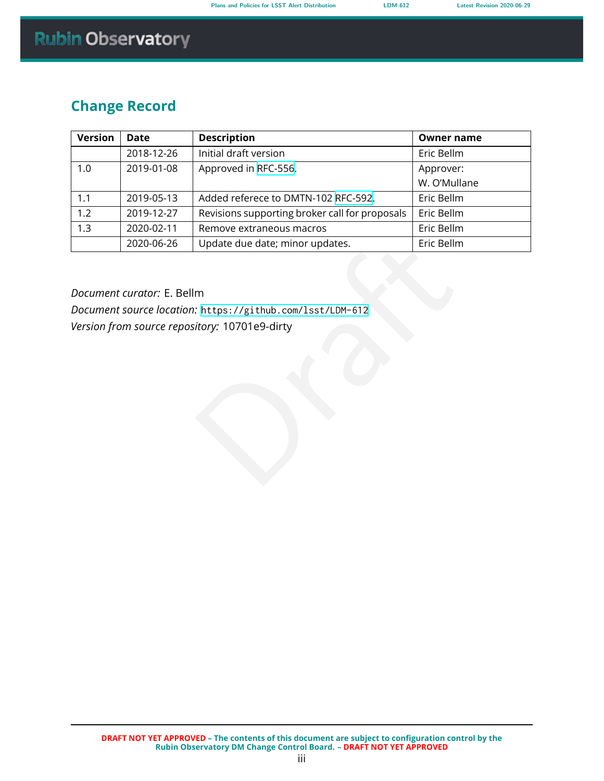# **Change Record**

| <b>Version</b> | <b>Date</b> | <b>Description</b>                             | <b>Owner name</b> |
|----------------|-------------|------------------------------------------------|-------------------|
|                | 2018-12-26  | Initial draft version                          | Eric Bellm        |
| 1.0            | 2019-01-08  | Approved in RFC-556.                           | Approver:         |
|                |             |                                                | W. O'Mullane      |
| 1.1            | 2019-05-13  | Added referece to DMTN-102 RFC-592.            | Eric Bellm        |
| 1.2            | 2019-12-27  | Revisions supporting broker call for proposals | Eric Bellm        |
| 1.3            | 2020-02-11  | Remove extraneous macros                       | Eric Bellm        |
|                | 2020-06-26  | Update due date; minor updates.                | Eric Bellm        |

Update due date; minor updates.<br>
m<br>
.: https://github.com/1sst/LDM-612<br>
ifory: 10701e9-dirty<br>
... *Document curator:* E. Bellm *Document source location:* https://github.com/lsst/LDM-612 *Version from source repository:* 10701e9-dirty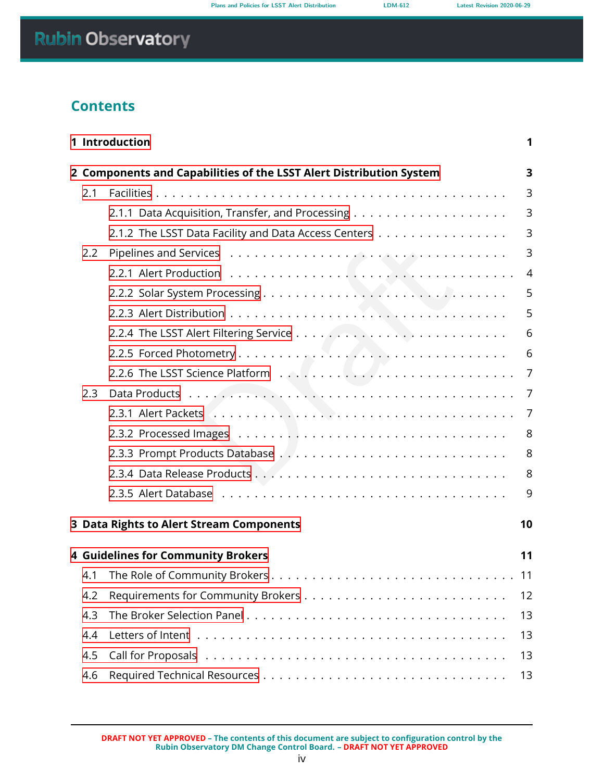# **Contents**

| 1 Introduction<br>1 |                                                                          |                |  |  |  |
|---------------------|--------------------------------------------------------------------------|----------------|--|--|--|
|                     | 2 Components and Capabilities of the LSST Alert Distribution System<br>3 |                |  |  |  |
| 2.1                 |                                                                          | 3              |  |  |  |
|                     |                                                                          | 3              |  |  |  |
|                     | 2.1.2 The LSST Data Facility and Data Access Centers                     | 3              |  |  |  |
| 2.2                 |                                                                          | 3              |  |  |  |
|                     |                                                                          | $\overline{4}$ |  |  |  |
|                     |                                                                          | 5              |  |  |  |
|                     |                                                                          | 5              |  |  |  |
|                     |                                                                          | 6              |  |  |  |
|                     |                                                                          | 6              |  |  |  |
|                     |                                                                          | 7              |  |  |  |
| 2.3                 |                                                                          | 7              |  |  |  |
|                     |                                                                          | 7              |  |  |  |
|                     |                                                                          | 8              |  |  |  |
|                     |                                                                          | 8              |  |  |  |
|                     |                                                                          | 8              |  |  |  |
|                     |                                                                          | 9              |  |  |  |
|                     | 3 Data Rights to Alert Stream Components                                 | 10             |  |  |  |
|                     | <b>4 Guidelines for Community Brokers</b>                                | 11             |  |  |  |
|                     |                                                                          |                |  |  |  |
|                     |                                                                          | 11             |  |  |  |
| 4.2                 |                                                                          | 12             |  |  |  |
| 4.3                 |                                                                          | 13             |  |  |  |
| 4.4                 |                                                                          | 13             |  |  |  |
| 4.5                 |                                                                          | 13             |  |  |  |
| 4.6                 |                                                                          | 13             |  |  |  |

**DRAFT NOT YET APPROVED – The contents of this document are subject to configuration control by the Rubin Observatory DM Change Control Board. – DRAFT NOT YET APPROVED**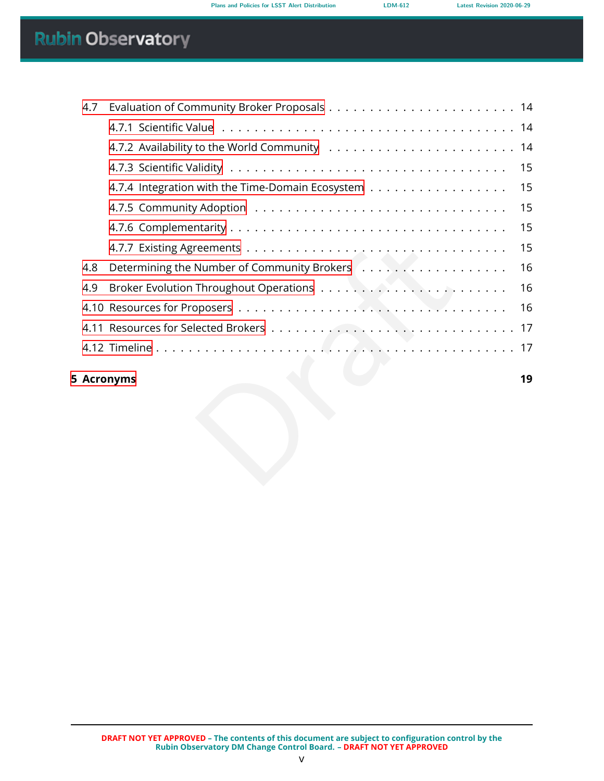| 4.7 |                                                  |    |
|-----|--------------------------------------------------|----|
|     |                                                  |    |
|     |                                                  |    |
|     |                                                  | 15 |
|     | 4.7.4 Integration with the Time-Domain Ecosystem | 15 |
|     |                                                  | 15 |
|     |                                                  | 15 |
|     |                                                  | 15 |
| 4.8 |                                                  | 16 |
| 4.9 |                                                  | 16 |
|     |                                                  | 16 |
|     |                                                  |    |
|     |                                                  |    |
|     | <b>Acronyms</b>                                  | 19 |
|     |                                                  |    |

### **[5 Acronyms](#page-23-0) 19**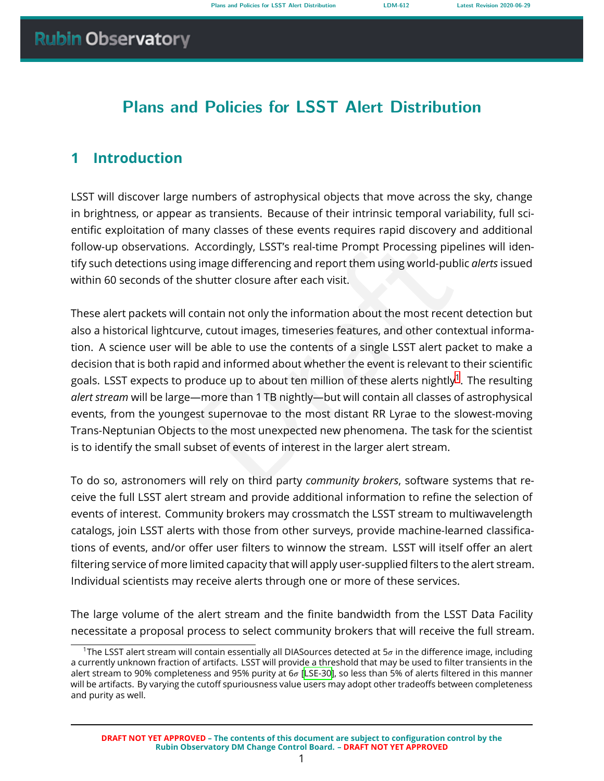# **Plans and Policies for LSST Alert Distribution**

# <span id="page-5-0"></span>**1 Introduction**

LSST will discover large numbers of astrophysical objects that move across the sky, change in brightness, or appear as transients. Because of their intrinsic temporal variability, full scientific exploitation of many classes of these events requires rapid discovery and additional follow-up observations. Accordingly, LSST's real-time Prompt Processing pipelines will identify such detections using image differencing and report them using world-public *alerts* issued within 60 seconds of the shutter closure after each visit.

Accordingly, LSST's real-time Prompt Processing pipelin<br>
i image differencing and report them using world-public c<br>
shutter closure after each visit.<br>
ontain not only the information about the most recent d<br>
e, cutout imag These alert packets will contain not only the information about the most recent detection but also a historical lightcurve, cutout images, timeseries features, and other contextual information. A science user will be able to use the contents of a single LSST alert packet to make a decision that is both rapid and informed about whether the event is relevant to their scientific goals. LSST expects to produce up to about ten million of these alerts nightly $^1.$  $^1.$  $^1.$  The resulting *alert stream* will be large—more than 1 TB nightly—but will contain all classes of astrophysical events, from the youngest supernovae to the most distant RR Lyrae to the slowest-moving Trans-Neptunian Objects to the most unexpected new phenomena. The task for the scientist is to identify the small subset of events of interest in the larger alert stream.

To do so, astronomers will rely on third party *community brokers*, software systems that receive the full LSST alert stream and provide additional information to refine the selection of events of interest. Community brokers may crossmatch the LSST stream to multiwavelength catalogs, join LSST alerts with those from other surveys, provide machine-learned classifications of events, and/or offer user filters to winnow the stream. LSST will itself offer an alert filtering service of more limited capacity that will apply user-supplied filters to the alert stream. Individual scientists may receive alerts through one or more of these services.

The large volume of the alert stream and the finite bandwidth from the LSST Data Facility necessitate a proposal process to select community brokers that will receive the full stream.

<span id="page-5-1"></span><sup>&</sup>lt;sup>1</sup>The LSST alert stream will contain essentially all DIASources detected at  $5\sigma$  in the difference image, including a currently unknown fraction of artifacts. LSST will provide a threshold that may be used to filter transients in the alert stream to 90% completeness and 95% purity at 6 [\[LSE-30](#page-24-0)], so less than 5% of alerts filtered in this manner will be artifacts. By varying the cutoff spuriousness value users may adopt other tradeoffs between completeness and purity as well.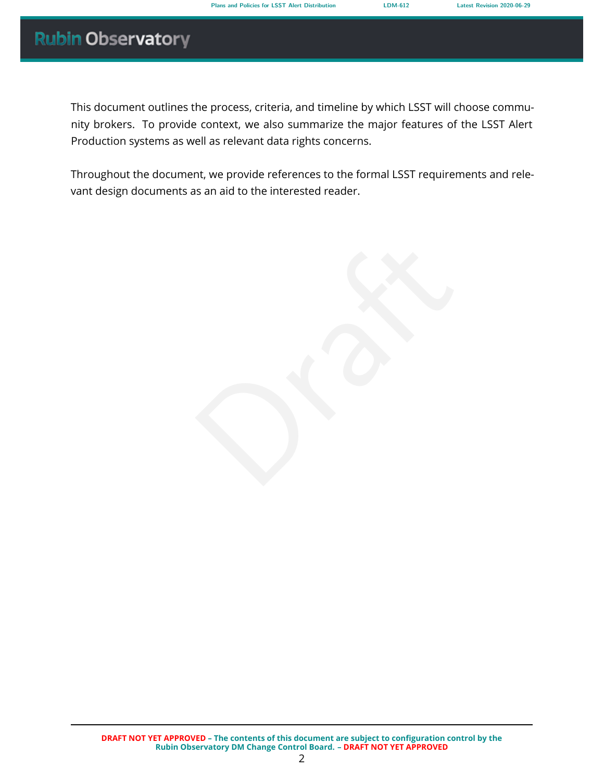This document outlines the process, criteria, and timeline by which LSST will choose community brokers. To provide context, we also summarize the major features of the LSST Alert Production systems as well as relevant data rights concerns.

Throughout the document, we provide references to the formal LSST requirements and relevant design documents as an aid to the interested reader.

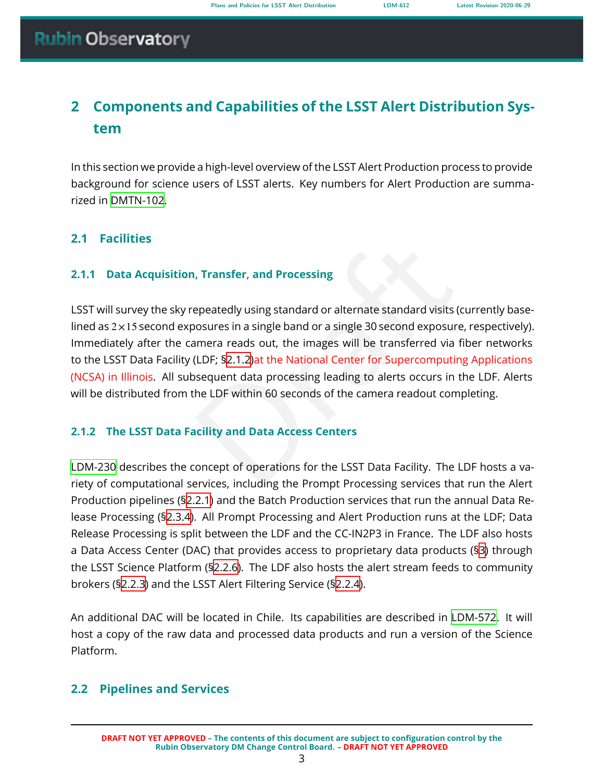# <span id="page-7-0"></span>**2 Components and Capabilities of the LSST Alert Distribution System**

In this section we provide a high-level overview of the LSST Alert Production process to provide background for science users of LSST alerts. Key numbers for Alert Production are summarized in [DMTN-102.](#page-24-1)

# <span id="page-7-1"></span>**2.1 Facilities**

# **2.1.1 Data Acquisition, Transfer, and Processing**

<span id="page-7-2"></span>Transfer, and Processing<br>
epeatedly using standard or alternate standard visits (curo<br>
nosures in a single band or a single 30 second exposure, r<br>
nmera reads out, the images will be transferred via fib<br>
(L[D](#page-7-3)F; §2.1.2) at t LSST will survey the sky repeatedly using standard or alternate standard visits (currently baselined as  $2 \times 15$  second exposures in a single band or a single 30 second exposure, respectively). Immediately after the camera reads out, the images will be transferred via fiber networks to the LSST Data Facility (LDF; §2.1.2)at the National Center for Supercomputing Applications (NCSA) in Illinois. All subsequent data processing leading to alerts occurs in the LDF. Alerts will be distributed from the LDF within 60 seconds of the camera readout completing.

# <span id="page-7-3"></span>**2.1.2 The LSST Data Facility and Data Access Centers**

[LDM-230](#page-25-0) describes the concept of operations for the LSST Data Facility. The LDF hosts a variety of computational services, including the Prompt Processing services that run the Alert Production pipelines (§[2.2.1](#page-7-5)) and the Batch Production services that run the annual Data Release Processing (§[2.3.4](#page-12-2)). All Prompt Processing and Alert Production runs at the LDF; Data Release Processing is split between the LDF and the CC-IN2P3 in France. The LDF also hosts a Data Access Center (DAC) that provides access to proprietary data products (§ [3](#page-14-0)) through the LSST Science Platform (§[2.2.6](#page-11-0)). The LDF also hosts the alert stream feeds to community brokers (§[2.2.3](#page-9-1)) and the LSST Alert Filtering Service ([§2.2.4\)](#page-10-0).

An additional DAC will be located in Chile. Its capabilities are described in [LDM-572](#page-24-2). It will host a copy of the raw data and processed data products and run a version of the Science Platform.

# <span id="page-7-5"></span><span id="page-7-4"></span>**2.2 Pipelines and Services**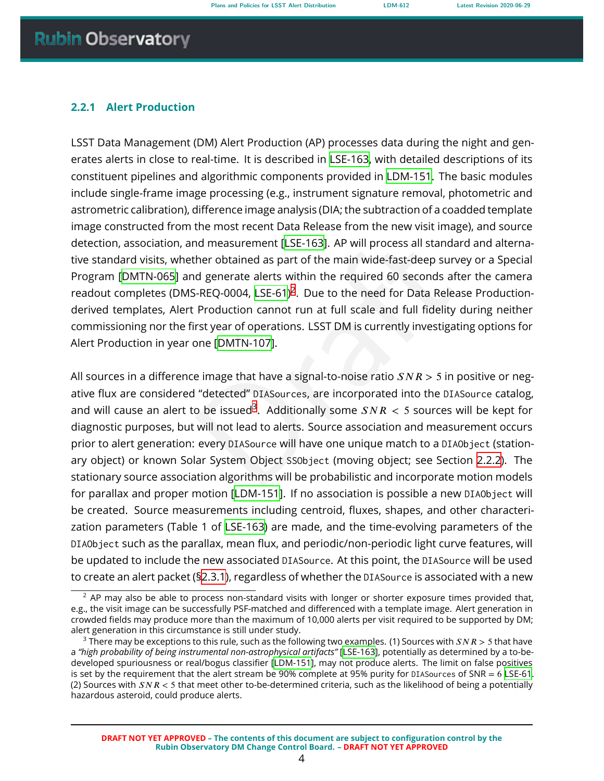### **2.2.1 Alert Production**

LSST Data Management (DM) Alert Production (AP) processes data during the night and generates alerts in close to real-time. It is described in [LSE-163](#page-24-3), with detailed descriptions of its constituent pipelines and algorithmic components provided in [LDM-151.](#page-25-1) The basic modules include single-frame image processing (e.g., instrument signature removal, photometric and astrometric calibration), difference image analysis (DIA; the subtraction of a coadded template image constructed from the most recent Data Release from the new visit image), and source detection, association, and measurement [LSE-163]. AP will process all standard and alternative standard visits, whether obtained as part of the main wide-fast-deep survey or a Special Program[[DMTN-065\]](#page-24-4) and generate alerts within the required 60 seconds after the camera readout completes (DMS-REQ-0004, LSE-61)<sup>2</sup>. Due to the need for Data Release Productionderived templates, Alert Production cannot run at full scale and full fidelity during neither commissioning nor the first year of operations. LSST DM is currently investigating options for Alert Production in year one [DMTN-107].

nd measurement [LSE-163]. AP will process all standard<br>ther obtained as part of the main wide-fast-deep survey<br>d generate alerts within the required 60 seconds after<br>i-REQ-0004, LSE-61)<sup>2</sup>. [D](#page-8-1)ue to the need for Data Releas All sources in a difference image that have a signal-to-noise ratio  $SNR > 5$  in positive or negative flux are considered "detected" DIASources, are incorporated into the DIASource catalog, and will cause an alert to be issued $^3$ . Additionally some  $SNR < 5$  sources will be kept for diagnostic purposes, but will not lead to alerts. Source association and measurement occurs prior to alert generation: every DIASource will have one unique match to a DIAObject (stationary object) or known Solar System Object SSObject (moving object; see Section [2.2.2](#page-9-0)). The stationary source association algorithms will be probabilistic and incorporate motion models for parallax and proper motion[[LDM-151](#page-25-1)]. If no association is possible a new DIAObject will be created. Source measurements including centroid, fluxes, shapes, and other characterization parameters (Table 1 of [LSE-163](#page-24-3)) are made, and the time-evolving parameters of the DIAObject such as the parallax, mean flux, and periodic/non-periodic light curve features, will be updated to include the new associated DIASource. At this point, the DIASource will be used to create an alert packet ([§2.3.1\)](#page-11-2), regardless of whether the DIASource is associated with a new

<span id="page-8-0"></span> $2$  AP may also be able to process non-standard visits with longer or shorter exposure times provided that, e.g., the visit image can be successfully PSF-matched and differenced with a template image. Alert generation in crowded fields may produce more than the maximum of 10,000 alerts per visit required to be supported by DM; alert generation in this circumstance is still under study.

<span id="page-8-1"></span><sup>&</sup>lt;sup>3</sup> There may be exceptions to this rule, such as the following two examples. (1) Sources with  $SNR > 5$  that have a *"high probability of being instrumental non-astrophysical artifacts"* [[LSE-163](#page-24-3)], potentially as determined by a to-bedeveloped spuriousness or real/bogus classifier[[LDM-151](#page-25-1)], may not produce alerts. The limit on false positives is set by the requirement that the alert stream be 90% complete at 95% purity for <code>DIASources</code> of SNR  $=$  6 <code>[LSE-61](#page-24-5).</code> (2) Sources with  $SNR < 5$  that meet other to-be-determined criteria, such as the likelihood of being a potentially hazardous asteroid, could produce alerts.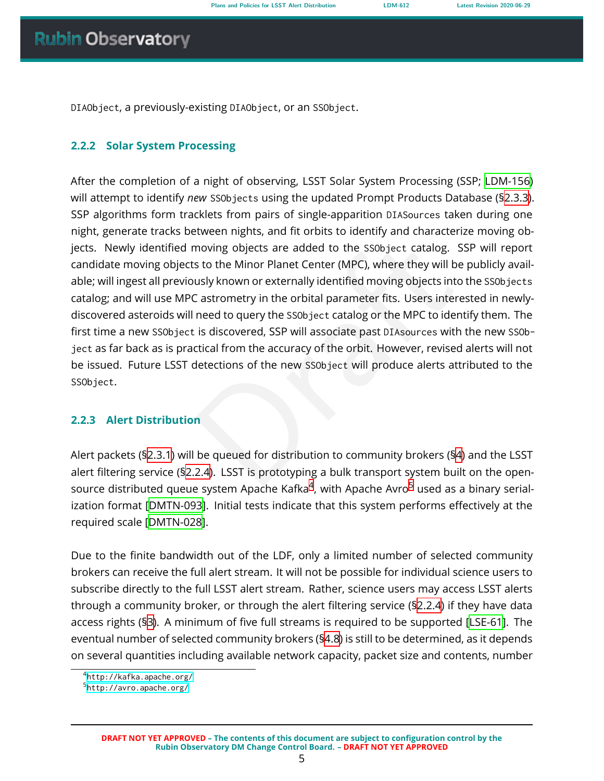<span id="page-9-0"></span>DIAObject, a previously-existing DIAObject, or an SSObject .

### **2.2.2 Solar System Processing**

moving objects are added to the SS0bject catalog. SSF<br>s to the Minor Planet Center (MPC), where they will be p<br>usly known or externally identified moving objects into the<br>castrometry in the orbital parameter fits. Users in After the completion of a night of observing, LSST Solar System Processing (SSP; [LDM-156](#page-24-7) ) will attempt to identify *new* SSObjects using the updated Prompt Products Database ([§2.3.3\)](#page-12-1). SSP algorithms form tracklets from pairs of single-apparition DIASources taken during one night, generate tracks between nights, and fit orbits to identify and characterize moving objects. Newly identified moving objects are added to the SSObject catalog. SSP will report candidate moving objects to the Minor Planet Center (MPC), where they will be publicly available; will ingest all previously known or externally identified moving objects into the SSObjects catalog; and will use MPC astrometry in the orbital parameter fits. Users interested in newlydiscovered asteroids will need to query the SSObject catalog or the MPC to identify them. The first time a new SSObject is discovered, SSP will associate past DIAsources with the new SSObject as far back as is practical from the accuracy of the orbit. However, revised alerts will not be issued. Future LSST detections of the new SSObject will produce alerts attributed to the SSObject .

### <span id="page-9-1"></span>**2.2.3 Alert Distribution**

Alert packets ([§2.3.1\)](#page-11-2) will be queued for distribution to community brokers (§ [4](#page-15-0)) and the LSST alert filtering service ([§2.2.4\)](#page-10-0). LSST is prototyping a bulk transport system built on the opensource distributed queue system Apache Kafka $^4$  $^4$ , with Apache Avro $^5$  used as a binary serialization format[[DMTN-093](#page-25-2)]. Initial tests indicate that this system performs effectively at the required scale[[DMTN-028\]](#page-25-3).

Due to the finite bandwidth out of the LDF, only a limited number of selected community brokers can receive the full alert stream. It will not be possible for individual science users to subscribe directly to the full LSST alert stream. Rather, science users may access LSST alerts through a community broker, or through the alert filtering service (§[2.2.4](#page-10-0)) if they have data access rights (§ [3\)](#page-14-0). A minimum of five full streams is required to be supported[[LSE-61\]](#page-24-5). The eventual number of selected community brokers ([§4.8](#page-20-0)) is still to be determined, as it depends on several quantities including available network capacity, packet size and contents, number

<span id="page-9-2"></span><sup>4</sup> <http://kafka.apache.org/>

<span id="page-9-3"></span><sup>&</sup>lt;sup>5</sup><http://avro.apache.org/>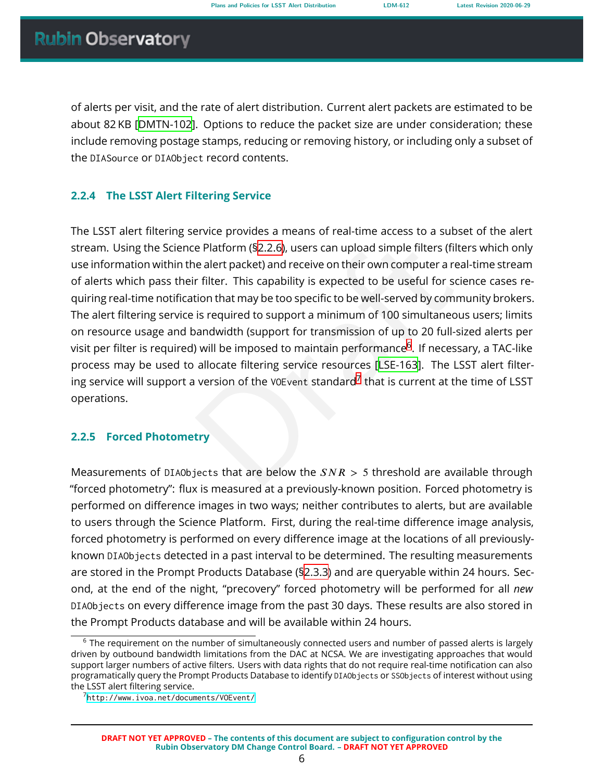of alerts per visit, and the rate of alert distribution. Current alert packets are estimated to be about 82 KB [\[DMTN-102\]](#page-24-1). Options to reduce the packet size are under consideration; these include removing postage stamps, reducing or removing history, or including only a subset of the DIASource or DIAObject record contents.

# <span id="page-10-0"></span>**2.2.4 The LSST Alert Filtering Service**

e Pl[a](#page-24-3)t[f](#page-10-2)orm (\$2.2.6), users can upload simple filters (filters<br>
ne alert packet) and receive on their own computer a real-<br>
r filter. This capability is expected to be useful for scien<br>
tion that may be too specific to be The LSST alert filtering service provides a means of real-time access to a subset of the alert stream. Using the Science Platform (§2.2.6), users can upload simple filters (filters which only use information within the alert packet) and receive on their own computer a real-time stream of alerts which pass their filter. This capability is expected to be useful for science cases requiring real-time notification that may be too specific to be well-served by community brokers. The alert filtering service is required to support a minimum of 100 simultaneous users; limits on resource usage and bandwidth (support for transmission of up to 20 full-sized alerts per visit per filter is required) will be imposed to maintain performance $^6$ . If necessary, a TAC-like process may be used to allocate filtering service resources [LSE-163]. The LSST alert filtering service will support a version of the <code>vo</code>E<code>vent</code> standard $^7$  that is current at the time of <code>LSST</code> operations.

# <span id="page-10-1"></span>**2.2.5 Forced Photometry**

Measurements of DIAObjects that are below the  $SNR > 5$  threshold are available through "forced photometry": flux is measured at a previously-known position. Forced photometry is performed on difference images in two ways; neither contributes to alerts, but are available to users through the Science Platform. First, during the real-time difference image analysis, forced photometry is performed on every difference image at the locations of all previouslyknown DIAObjects detected in a past interval to be determined. The resulting measurements are stored in the Prompt Products Database ([§2.3.3\)](#page-12-1) and are queryable within 24 hours. Second, at the end of the night, "precovery" forced photometry will be performed for all *new* DIAObjects on every difference image from the past 30 days. These results are also stored in the Prompt Products database and will be available within 24 hours.

<span id="page-10-2"></span><sup>&</sup>lt;sup>6</sup> The requirement on the number of simultaneously connected users and number of passed alerts is largely driven by outbound bandwidth limitations from the DAC at NCSA. We are investigating approaches that would support larger numbers of active filters. Users with data rights that do not require real-time notification can also programatically query the Prompt Products Database to identify DIAObjects or SSObjects of interest without using the LSST alert filtering service.

<span id="page-10-3"></span><sup>7</sup> <http://www.ivoa.net/documents/VOEvent/>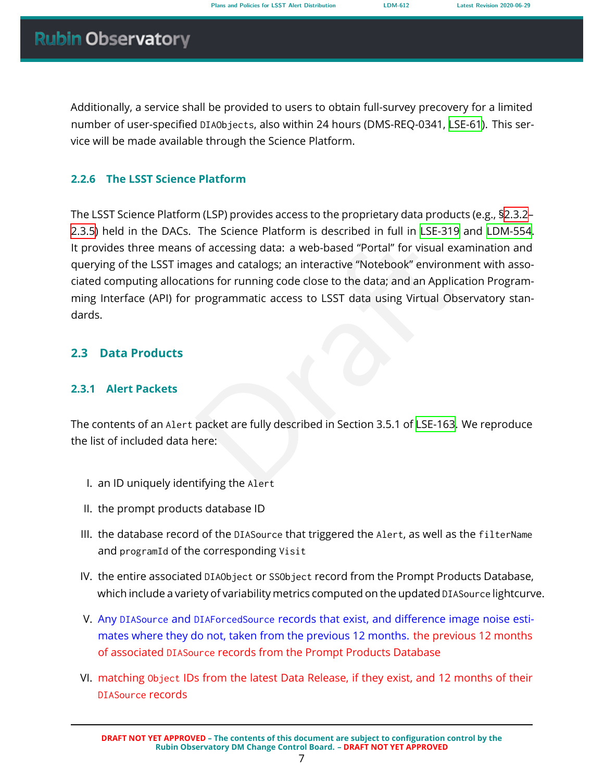Additionally, a service shall be provided to users to obtain full-survey precovery for a limited number of user-specified DIAObjects, also within 24 hours (DMS-REQ-0341, [LSE-61\)](#page-24-5). This service will be made available through the Science Platform.

# <span id="page-11-0"></span>**2.2.6 The LSST Science Platform**

of accessing data: a web-based "Portal" for visual examples and catalogs; an interactive "Notebook" environmer<br>ions for running code close to the data; and an Applicatic<br>programmatic access to LSST data using Virtual Obser The LSST Science Platform (LSP) provides access to the proprietary data products (e.g., [§2.3.2](#page-12-0) – [2.3.5\)](#page-13-0) held in the DACs. The Science Platform is described in full in [LSE-319](#page-24-8) and [LDM-554](#page-24-9) . It provides three means of accessing data: a web-based "Portal" for visual examination and querying of the LSST images and catalogs; an interactive "Notebook" environment with associated computing allocations for running code close to the data; and an Application Programming Interface (API) for programmatic access to LSST data using Virtual Observatory standards.

# <span id="page-11-2"></span><span id="page-11-1"></span>**2.3 Data Products**

# **2.3.1 Alert Packets**

The contents of an Alert packet are fully described in Section 3.5.1 of LSE-163. We reproduce the list of included data here:

- I. an ID uniquely identifying the Alert
- II. the prompt products database ID
- III. the database record of the DIASource that triggered the Alert, as well as the filterName and programId of the corresponding Visit
- IV. the entire associated DIAObject or SSObject record from the Prompt Products Database, which include a variety of variability metrics computed on the updated DIASource lightcurve.
- V. Any DIASource and DIAForcedSource records that exist, and difference image noise estimates where they do not, taken from the previous 12 months. the previous 12 months of associated DIASource records from the Prompt Products Database
- VI. matching Object IDs from the latest Data Release, if they exist, and 12 months of their DIASource records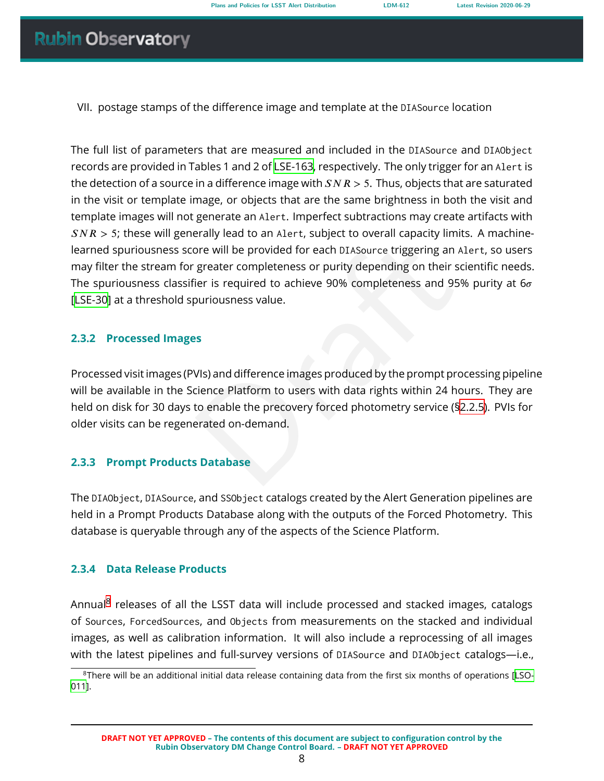VII. postage stamps of the difference image and template at the DIASource location

ore will be provided for each DIASource triggering an Ale<br>greater completeness or purity depending on their scie<br>ier is required to achieve 90% completeness and 95%<br>ouriousness value.<br>Suriousness value.<br>Suriousness value.<br> The full list of parameters that are measured and included in the DIASource and DIAObject records are provided in Tables 1 and 2 of [LSE-163,](#page-24-3) respectively. The only trigger for an Alert is the detection of a source in a difference image with  $SNR > 5$ . Thus, objects that are saturated in the visit or template image, or objects that are the same brightness in both the visit and template images will not generate an Alert. Imperfect subtractions may create artifacts with  $SNR > 5$ ; these will generally lead to an Alert, subject to overall capacity limits. A machinelearned spuriousness score will be provided for each DIASource triggering an Alert, so users may filter the stream for greater completeness or purity depending on their scientific needs. The spuriousness classifier is required to achieve 90% completeness and 95% purity at 6 $\sigma$ [[LSE-30](#page-24-0)] at a threshold spuriousness value.

### <span id="page-12-0"></span>**2.3.2 Processed Images**

Processed visit images (PVIs) and difference images produced by the prompt processing pipeline will be available in the Science Platform to users with data rights within 24 hours. They are held on disk for 30 days to enable the precovery forced photometry service ([§2.2.5\)](#page-10-1). PVIs for older visits can be regenerated on-demand.

### <span id="page-12-1"></span>**2.3.3 Prompt Products Database**

The DIAObject , DIASource, and SSObject catalogs created by the Alert Generation pipelines are held in a Prompt Products Database along with the outputs of the Forced Photometry. This database is queryable through any of the aspects of the Science Platform.

### <span id="page-12-2"></span>**2.3.4 Data Release Products**

Annual<sup>[8](#page-12-3)</sup> releases of all the LSST data will include processed and stacked images, catalogs of Sources , ForcedSources, and Objects from measurements on the stacked and individual images, as well as calibration information. It will also include a reprocessing of all images with the latest pipelines and full-survey versions of DIASource and DIAObject catalogs-i.e.,

<span id="page-12-3"></span><sup>&</sup>lt;sup>8</sup>There will be an additional initial data release containing data from the first six months of operations [\[LSO-](#page-25-4)[011](#page-25-4)].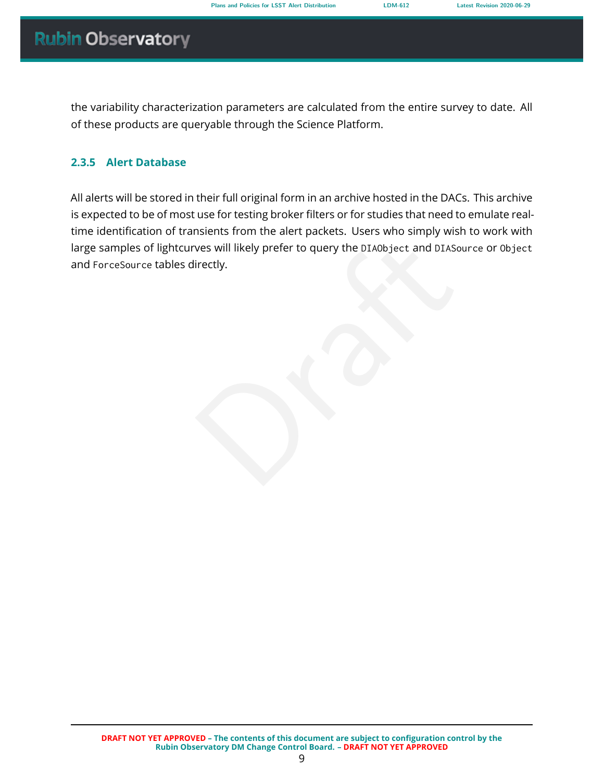the variability characterization parameters are calculated from the entire survey to date. All of these products are queryable through the Science Platform.

### <span id="page-13-0"></span>**2.3.5 Alert Database**

ves will likely prefer to query the DIAObject and DIASourierctly. All alerts will be stored in their full original form in an archive hosted in the DACs. This archive is expected to be of most use for testing broker filters or for studies that need to emulate realtime identification of transients from the alert packets. Users who simply wish to work with large samples of lightcurves will likely prefer to query the DIAObject and DIASource or Object and ForceSource tables directly.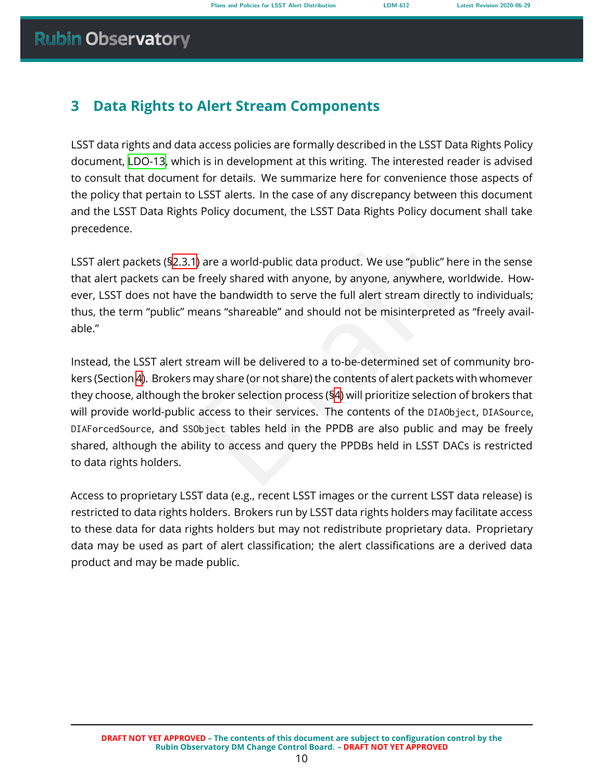# <span id="page-14-0"></span>**3 Data Rights to Alert Stream Components**

LSST data rights and data access policies are formally described in the LSST Data Rights Policy document, [LDO-13,](#page-24-10) which is in development at this writing. The interested reader is advised to consult that document for details. We summarize here for convenience those aspects of the policy that pertain to LSST alerts. In the case of any discrepancy between this document and the LSST Data Rights Policy document, the LSST Data Rights Policy document shall take precedence.

LSST alert packets (§[2.3.1](#page-11-2)) are a world-public data product. We use "public" here in the sense that alert packets can be freely shared with anyone, by anyone, anywhere, worldwide. However, LSST does not have the bandwidth to serve the full alert stream directly to individuals; thus, the term "public" means "shareable" and should not be misinterpreted as "freely available."

) are a world-public data product. We use "public" here if freely shared with anyone, by anyone, anywhere, worlder the bandwidth to serve the full alert stream directly to heans "shareable" and should not be misinterpreted Instead, the LSST alert stream will be delivered to a to-be-determined set of community brokers (Section [4](#page-15-0)). Brokers may share (or not share) the contents of alert packets with whomever they choose, although the broker selection process (§ 4) will prioritize selection of brokers that will provide world-public access to their services. The contents of the DIAObject , DIASource , DIAForcedSource, and SSObject tables held in the PPDB are also public and may be freely shared, although the ability to access and query the PPDBs held in LSST DACs is restricted to data rights holders.

Access to proprietary LSST data (e.g., recent LSST images or the current LSST data release) is restricted to data rights holders. Brokers run by LSST data rights holders may facilitate access to these data for data rights holders but may not redistribute proprietary data. Proprietary data may be used as part of alert classification; the alert classifications are a derived data product and may be made public.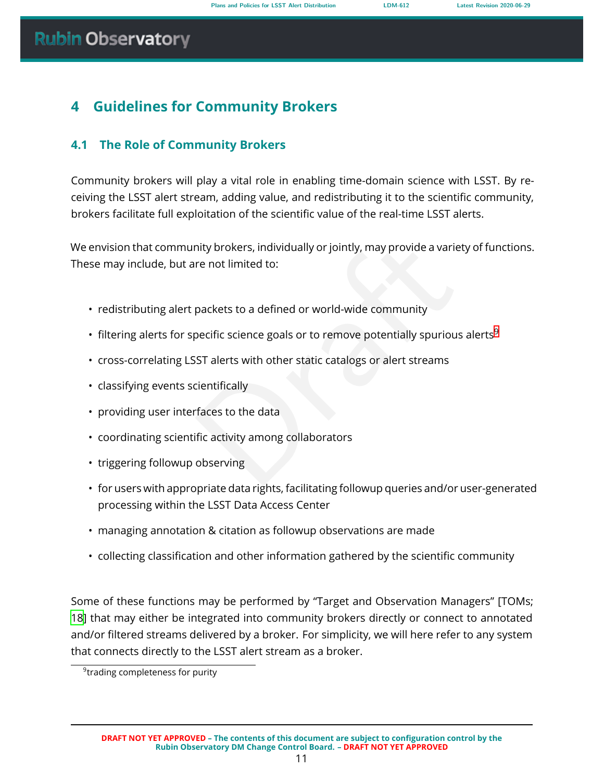# <span id="page-15-0"></span>**4 Guidelines for Community Brokers**

# <span id="page-15-1"></span>**4.1 The Role of Community Brokers**

Community brokers will play a vital role in enabling time-domain science with LSST. By receiving the LSST alert stream, adding value, and redistributing it to the scientific community, brokers facilitate full exploitation of the scientific value of the real-time LSST alerts.

mity brokers, individually or jointly, may provide a variety<br>re not limited to:<br>packets to a defined or world-wide community<br>pecific science goals or to remove potentially spurious al<br>SST alerts with other static catalogs We envision that community brokers, individually or jointly, may provide a variety of functions. These may include, but are not limited to:

- redistributing alert packets to a defined or world-wide community
- $\bm{\cdot}$  filtering alerts for specific science goals or to remove potentially spurious alerts $^9$  $^9$
- cross-correlating LSST alerts with other static catalogs or alert streams
- classifying events scientifically
- providing user interfaces to the data
- coordinating scientific activity among collaborators
- triggering followup observing
- for users with appropriate data rights, facilitating followup queries and/or user-generated processing within the LSST Data Access Center
- managing annotation & citation as followup observations are made
- collecting classification and other information gathered by the scientific community

Some of these functions may be performed by "Target and Observation Managers" [TOMs; [18](#page-25-5)] that may either be integrated into community brokers directly or connect to annotated and/or filtered streams delivered by a broker. For simplicity, we will here refer to any system that connects directly to the LSST alert stream as a broker.

<span id="page-15-2"></span><sup>9</sup> trading completeness for purity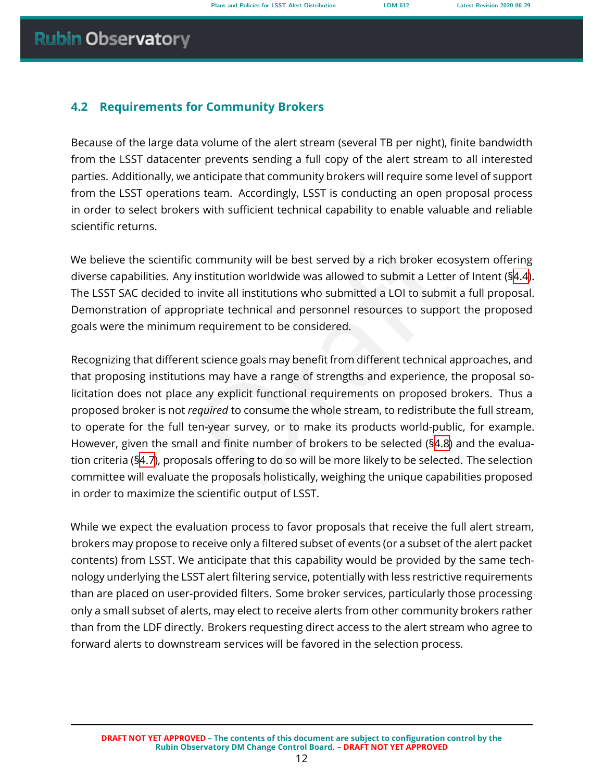# <span id="page-16-0"></span>**4.2 Requirements for Community Brokers**

Because of the large data volume of the alert stream (several TB per night), finite bandwidth from the LSST datacenter prevents sending a full copy of the alert stream to all interested parties. Additionally, we anticipate that community brokers will require some level of support from the LSST operations team. Accordingly, LSST is conducting an open proposal process in order to select brokers with sufficient technical capability to enable valuable and reliable scientific returns.

We believe the scientific community will be best served by a rich broker ecosystem offering diverse capabilities. Any institution worldwide was allowed to submit a Letter of Intent (§[4.4\)](#page-17-0). The LSST SAC decided to invite all institutions who submitted a LOI to submit a full proposal. Demonstration of appropriate technical and personnel resources to support the proposed goals were the minimum requirement to be considered.

community will be best served by a rich broker ecosyst<br>institution worldwide was allowed to submit a Letter of<br>invite all institutions who submitted a LOI to submit a fi<br>priate technical and personnel resources to support Recognizing that different science goals may benefit from different technical approaches, and that proposing institutions may have a range of strengths and experience, the proposal solicitation does not place any explicit functional requirements on proposed brokers. Thus a proposed broker is not *required* to consume the whole stream, to redistribute the full stream, to operate for the full ten-year survey, or to make its products world-public, for example. However, given the small and finite number of brokers to be selected (§4.8) and the evaluation criteria ([§4.7\)](#page-18-0), proposals offering to do so will be more likely to be selected. The selection committee will evaluate the proposals holistically, weighing the unique capabilities proposed in order to maximize the scientific output of LSST.

<span id="page-16-1"></span>While we expect the evaluation process to favor proposals that receive the full alert stream, brokers may propose to receive only a filtered subset of events (or a subset of the alert packet contents) from LSST. We anticipate that this capability would be provided by the same technology underlying the LSST alert filtering service, potentially with less restrictive requirements than are placed on user-provided filters. Some broker services, particularly those processing only a small subset of alerts, may elect to receive alerts from other community brokers rather than from the LDF directly. Brokers requesting direct access to the alert stream who agree to forward alerts to downstream services will be favored in the selection process.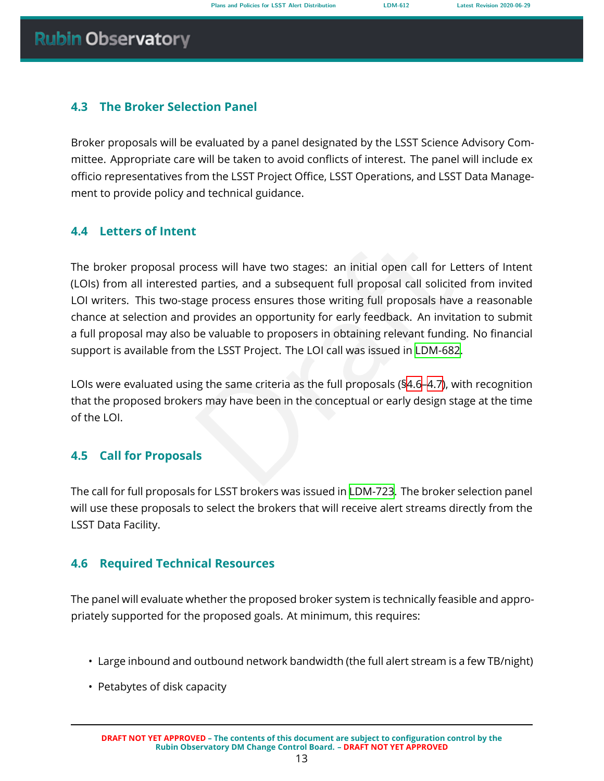# **4.3 The Broker Selection Panel**

Broker proposals will be evaluated by a panel designated by the LSST Science Advisory Committee. Appropriate care will be taken to avoid conflicts of interest. The panel will include ex officio representatives from the LSST Project Office, LSST Operations, and LSST Data Management to provide policy and technical guidance.

# <span id="page-17-0"></span>**4.4 Letters of Intent**

betwo stages: an initial open call [f](#page-23-1)or Lette<br>d parties, and a subsequent full proposal call solicited f<br>age process ensures those writing full proposals have a<br>provides an opportunity for early feedback. An invitatio<br>be va The broker proposal process will have two stages: an initial open call for Letters of Intent (LOIs) from all interested parties, and a subsequent full proposal call solicited from invited LOI writers. This two-stage process ensures those writing full proposals have a reasonable chance at selection and provides an opportunity for early feedback. An invitation to submit a full proposal may also be valuable to proposers in obtaining relevant funding. No financial support is available from the LSST Project. The LOI call was issued in LDM-682 .

LOIs were evaluated using the same criteria as the full proposals (§4.6 –4.7), with recognition that the proposed brokers may have been in the conceptual or early design stage at the time of the LOI.

# <span id="page-17-1"></span>**4.5 Call for Proposals**

The call for full proposals for LSST brokers was issued in [LDM-723.](#page-24-11) The broker selection panel will use these proposals to select the brokers that will receive alert streams directly from the LSST Data Facility.

# <span id="page-17-2"></span>**4.6 Required Technical Resources**

The panel will evaluate whether the proposed broker system is technically feasible and appropriately supported for the proposed goals. At minimum, this requires:

- Large inbound and outbound network bandwidth (the full alert stream is a few TB/night)
- Petabytes of disk capacity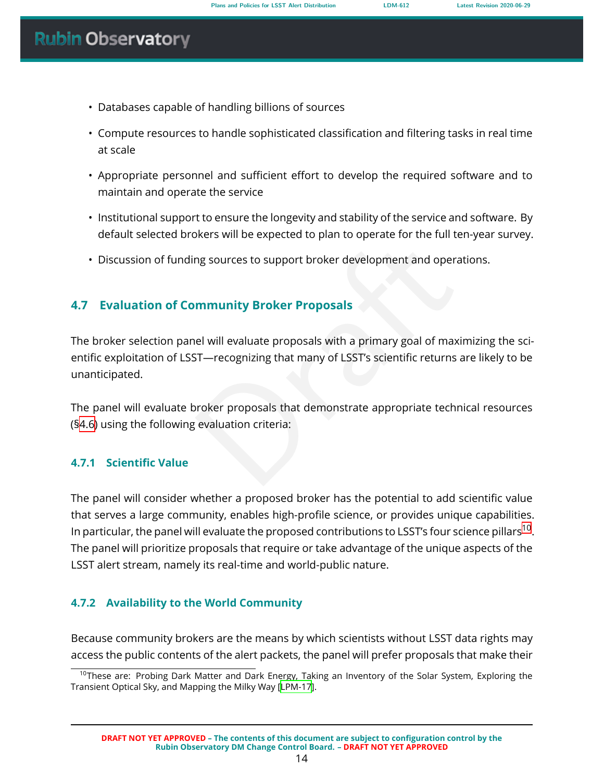- Databases capable of handling billions of sources
- Compute resources to handle sophisticated classification and filtering tasks in real time at scale
- Appropriate personnel and sufficient effort to develop the required software and to maintain and operate the service
- Institutional support to ensure the longevity and stability of the service and software. By default selected brokers will be expected to plan to operate for the full ten-year survey.
- Discussion of funding sources to support broker development and operations.

# <span id="page-18-0"></span>**4.7 Evaluation of Community Broker Proposals**

mere militaries experience phanets experience and operation<br>ing sources to support broker development and operation<br>**mmunity Broker Proposals**<br>and will evaluate proposals with a primary goal of maximity<br>interaction of LSST The broker selection panel will evaluate proposals with a primary goal of maximizing the scientific exploitation of LSST—recognizing that many of LSST's scientific returns are likely to be unanticipated.

The panel will evaluate broker proposals that demonstrate appropriate technical resources (§[4.6\)](#page-17-2) using the following evaluation criteria:

### <span id="page-18-1"></span>**4.7.1 Scientific Value**

The panel will consider whether a proposed broker has the potential to add scientific value that serves a large community, enables high-profile science, or provides unique capabilities. In particular, the panel will evaluate the proposed contributions to LSST's four science pillars $^{\text{10}}$  $^{\text{10}}$  $^{\text{10}}$ . The panel will prioritize proposals that require or take advantage of the unique aspects of the LSST alert stream, namely its real-time and world-public nature.

# <span id="page-18-2"></span>**4.7.2 Availability to the World Community**

Because community brokers are the means by which scientists without LSST data rights may access the public contents of the alert packets, the panel will prefer proposals that make their

<span id="page-18-3"></span><sup>&</sup>lt;sup>10</sup>These are: Probing Dark Matter and Dark Energy, Taking an Inventory of the Solar System, Exploring the Transient Optical Sky, and Mapping the Milky Way[[LPM-17\]](#page-24-12).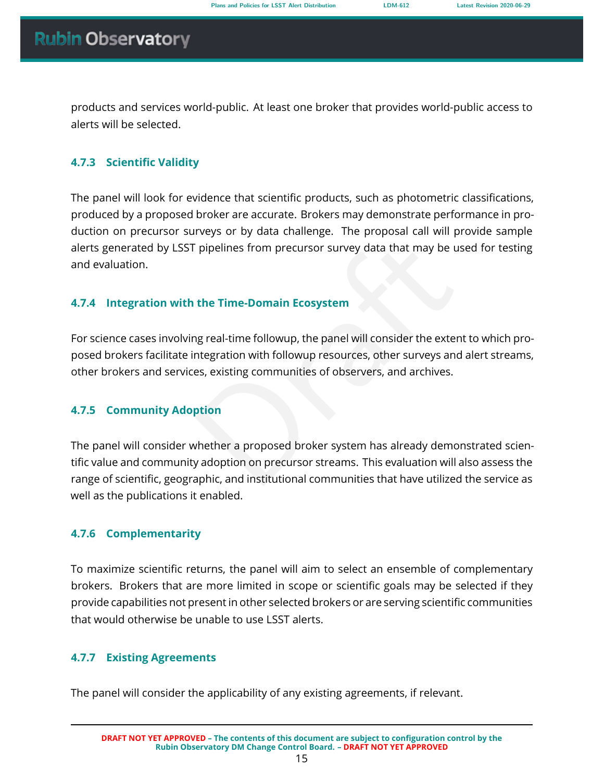products and services world-public. At least one broker that provides world-public access to alerts will be selected.

### <span id="page-19-0"></span>**4.7.3 Scientific Validity**

The panel will look for evidence that scientific products, such as photometric classifications, produced by a proposed broker are accurate. Brokers may demonstrate performance in production on precursor surveys or by data challenge. The proposal call will provide sample alerts generated by LSST pipelines from precursor survey data that may be used for testing and evaluation.

# <span id="page-19-1"></span>**4.7.4 Integration with the Time-Domain Ecosystem**

For science cases involving real-time followup, the panel will consider the extent to which proposed brokers facilitate integration with followup resources, other surveys and alert streams, other brokers and services, existing communities of observers, and archives.

# <span id="page-19-2"></span>**4.7.5 Community Adoption**

properties from precursor survey data that may be used<br>the Time-Domain Ecosystem<br>ng real-time followup, the panel will consider the extent to<br>ntegration with followup resources, other surveys and al<br>es, existing communitie The panel will consider whether a proposed broker system has already demonstrated scientific value and community adoption on precursor streams. This evaluation will also assess the range of scientific, geographic, and institutional communities that have utilized the service as well as the publications it enabled.

### <span id="page-19-3"></span>**4.7.6 Complementarity**

To maximize scientific returns, the panel will aim to select an ensemble of complementary brokers. Brokers that are more limited in scope or scientific goals may be selected if they provide capabilities not present in other selected brokers or are serving scientific communities that would otherwise be unable to use LSST alerts.

### <span id="page-19-4"></span>**4.7.7 Existing Agreements**

The panel will consider the applicability of any existing agreements, if relevant.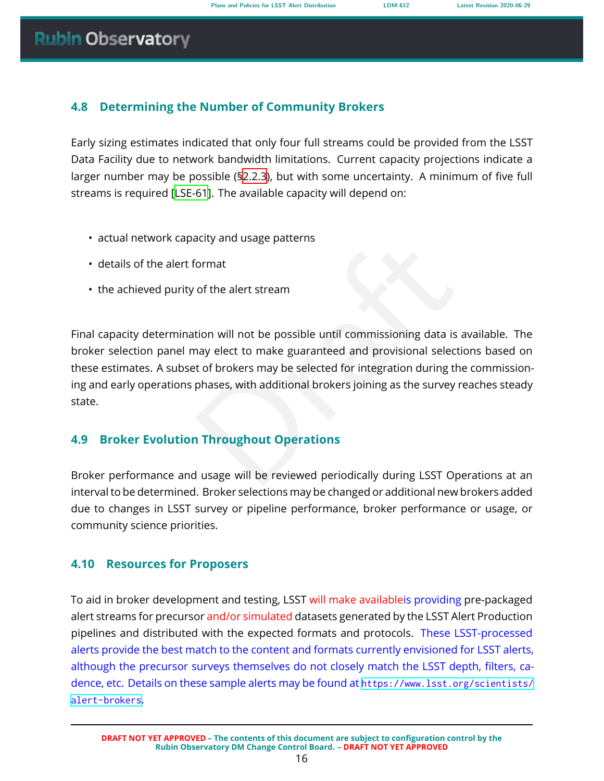# <span id="page-20-0"></span>**4.8 Determining the Number of Community Brokers**

Early sizing estimates indicated that only four full streams could be provided from the LSST Data Facility due to network bandwidth limitations. Current capacity projections indicate a larger number may be possible ([§2.2.3\)](#page-9-1), but with some uncertainty. A minimum of five full streams is required [\[LSE-61\]](#page-24-5). The available capacity will depend on:

- actual network capacity and usage patterns
- details of the alert format
- the achieved purity of the alert stream

Format<br>
of the alert stream<br>
tion will not be possible until commissioning data is average<br>
may elect to make guaranteed and provisional selection<br>
to f brokers may be selected for integration during the c<br>
phases, with ad Final capacity determination will not be possible until commissioning data is available. The broker selection panel may elect to make guaranteed and provisional selections based on these estimates. A subset of brokers may be selected for integration during the commissioning and early operations phases, with additional brokers joining as the survey reaches steady state.

# <span id="page-20-1"></span>**4.9 Broker Evolution Throughout Operations**

Broker performance and usage will be reviewed periodically during LSST Operations at an interval to be determined. Broker selections may be changed or additional new brokers added due to changes in LSST survey or pipeline performance, broker performance or usage, or community science priorities.

# <span id="page-20-2"></span>**4.10 Resources for Proposers**

To aid in broker development and testing, LSST will make availableis providing pre-packaged alert streams for precursor and/or simulated datasets generated by the LSST Alert Production pipelines and distributed with the expected formats and protocols. These LSST-processed alerts provide the best match to the content and formats currently envisioned for LSST alerts, although the precursor surveys themselves do not closely match the LSST depth, filters, cadence, etc. Details on these sample alerts may be found at [https://www.lsst.org/scientists/](https://www.lsst.org/scientists/alert-brokers) [alert-brokers](https://www.lsst.org/scientists/alert-brokers) .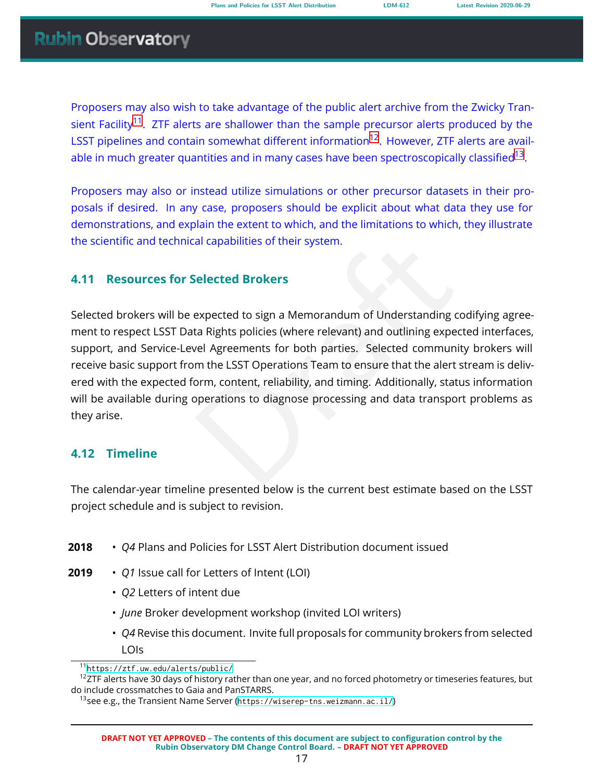Proposers may also wish to take advantage of the public alert archive from the Zwicky Tran-sient Facility<sup>[11](#page-21-2)</sup>. ZTF alerts are shallower than the sample precursor alerts produced by the LSST pipelines and contain somewhat different information<sup>[12](#page-21-3)</sup>. However, ZTF alerts are avail-able in much greater quantities and in many cases have been spectroscopically classified<sup>[13](#page-21-4)</sup>.

Proposers may also or instead utilize simulations or other precursor datasets in their proposals if desired. In any case, proposers should be explicit about what data they use for demonstrations, and explain the extent to which, and the limitations to which, they illustrate the scientific and technical capabilities of their system.

### **4.11 Resources for Selected Brokers**

<span id="page-21-0"></span>al capabilities of their system.<br>
Selected Brokers<br>
expected to sign a Memorandum of Understanding codita Rights policies (where relevant) and outlining expected<br>
rel Agreements for both parties. Selected community<br>
m the Selected brokers will be expected to sign a Memorandum of Understanding codifying agreement to respect LSST Data Rights policies (where relevant) and outlining expected interfaces, support, and Service-Level Agreements for both parties. Selected community brokers will receive basic support from the LSST Operations Team to ensure that the alert stream is delivered with the expected form, content, reliability, and timing. Additionally, status information will be available during operations to diagnose processing and data transport problems as they arise.

# <span id="page-21-1"></span>**4.12 Timeline**

The calendar-year timeline presented below is the current best estimate based on the LSST project schedule and is subject to revision.

- **2018** • *Q4* Plans and Policies for LSST Alert Distribution document issued
- **2019** • *Q1* Issue call for Letters of Intent (LOI)
	- *Q2* Letters of intent due
	- *June* Broker development workshop (invited LOI writers)
	- *Q4* Revise this document. Invite full proposals for community brokers from selected LOIs

<span id="page-21-3"></span><span id="page-21-2"></span><sup>11</sup><https://ztf.uw.edu/alerts/public/>

 $12$ ZTF alerts have 30 days of history rather than one year, and no forced photometry or timeseries features, but do include crossmatches to Gaia and PanSTARRS.

<span id="page-21-4"></span><sup>&</sup>lt;sup>13</sup>see e.g., the Transient Name Server (<https://wiserep-tns.weizmann.ac.il/>)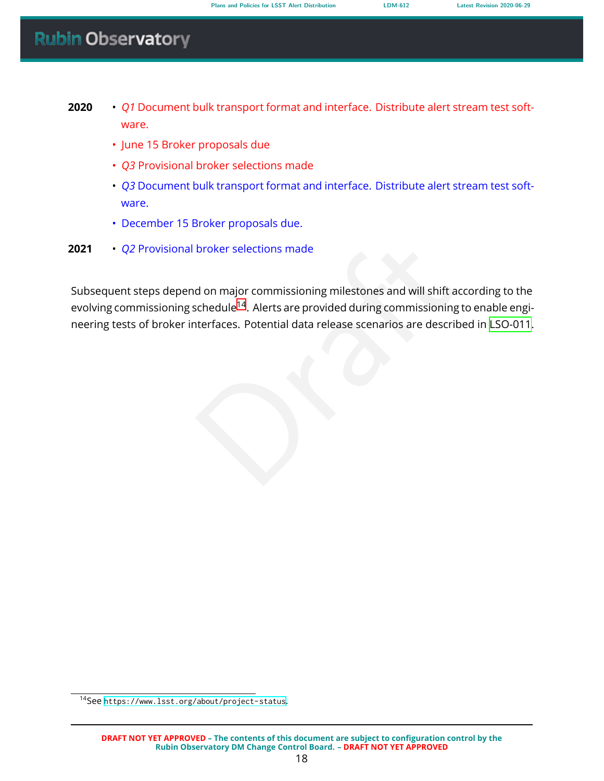- **2020** • *Q1* Document bulk transport format and interface. Distribute alert stream test software.
	- June 15 Broker proposals due
	- *Q3* Provisional broker selections made
	- *Q3* Document bulk transport format and interface. Distribute alert stream test software.
	- December 15 Broker proposals due.
- **2021** • *Q2* Provisional broker selections made

broker selections made<br>
d on major commissioning milestones and will shift acco<br>
schedule<sup>14</sup>. Alerts are provided during commissioning to<br>
tterfaces. Potential data release scenarios are described<br>
described<br>
described<br>
d Subsequent steps depend on major commissioning milestones and will shift according to the evolving commissioning schedule<sup>14</sup>. Alerts are provided during commissioning to enable engineering tests of broker interfaces. Potential data release scenarios are described in [LSO-011.](#page-25-4)

<span id="page-22-0"></span><sup>&</sup>lt;sup>14</sup>See <https://www.lsst.org/about/project-status>.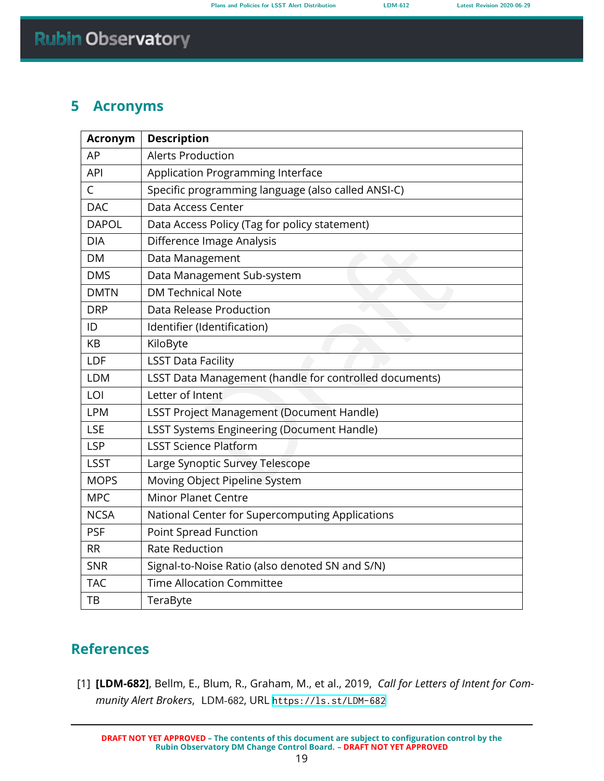# <span id="page-23-0"></span>**5 Acronyms**

| <b>Acronym</b> | <b>Description</b>                                     |  |
|----------------|--------------------------------------------------------|--|
| AP             | <b>Alerts Production</b>                               |  |
| <b>API</b>     | Application Programming Interface                      |  |
| C              | Specific programming language (also called ANSI-C)     |  |
| <b>DAC</b>     | Data Access Center                                     |  |
| <b>DAPOL</b>   | Data Access Policy (Tag for policy statement)          |  |
| <b>DIA</b>     | Difference Image Analysis                              |  |
| DM             | Data Management                                        |  |
| <b>DMS</b>     | Data Management Sub-system                             |  |
| <b>DMTN</b>    | <b>DM Technical Note</b>                               |  |
| <b>DRP</b>     | Data Release Production                                |  |
| ID             | Identifier (Identification)                            |  |
| KB             | KiloByte                                               |  |
| LDF            | <b>LSST Data Facility</b>                              |  |
| <b>LDM</b>     | LSST Data Management (handle for controlled documents) |  |
| LOI            | Letter of Intent                                       |  |
| <b>LPM</b>     | <b>LSST Project Management (Document Handle)</b>       |  |
| <b>LSE</b>     | <b>LSST Systems Engineering (Document Handle)</b>      |  |
| <b>LSP</b>     | <b>LSST Science Platform</b>                           |  |
| <b>LSST</b>    | Large Synoptic Survey Telescope                        |  |
| <b>MOPS</b>    | Moving Object Pipeline System                          |  |
| <b>MPC</b>     | <b>Minor Planet Centre</b>                             |  |
| <b>NCSA</b>    | National Center for Supercomputing Applications        |  |
| <b>PSF</b>     | Point Spread Function                                  |  |
| <b>RR</b>      | <b>Rate Reduction</b>                                  |  |
| <b>SNR</b>     | Signal-to-Noise Ratio (also denoted SN and S/N)        |  |
| <b>TAC</b>     | <b>Time Allocation Committee</b>                       |  |
| ТB             | TeraByte                                               |  |

# **References**

<span id="page-23-1"></span>[1] **[LDM-682]**, Bellm, E., Blum, R., Graham, M., et al., 2019, *Call for Letters of Intent for Community Alert Brokers*, LDM-682, URL <https://ls.st/LDM-682>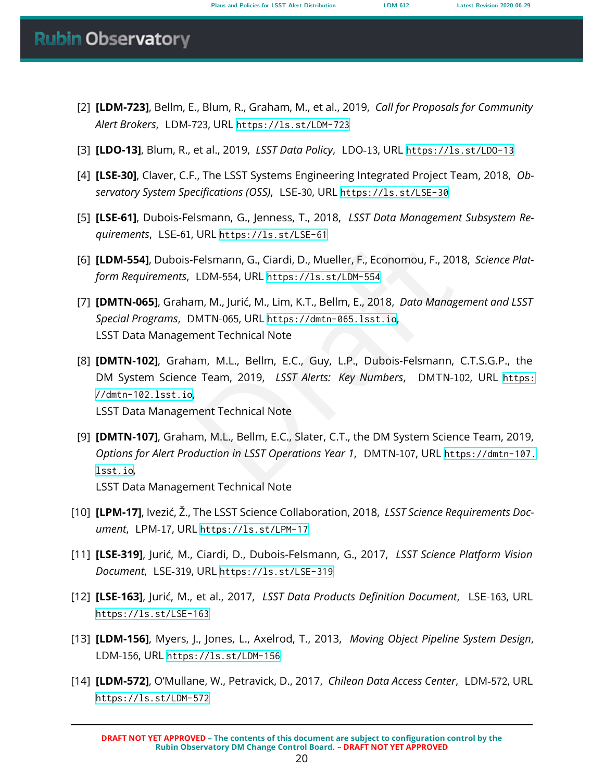- <span id="page-24-11"></span>[2] **[LDM-723]**, Bellm, E., Blum, R., Graham, M., et al., 2019, *Call for Proposals for Community Alert Brokers* , LDM-723, URL <https://ls.st/LDM-723>
- <span id="page-24-10"></span>[3] **[LDO-13]**, Blum, R., et al., 2019, *LSST Data Policy*, LDO-13, URL <https://ls.st/LDO-13>
- <span id="page-24-0"></span>[4] **[LSE-30]**, Claver, C.F., The LSST Systems Engineering Integrated Project Team, 2018, *Observatory System Specifications (OSS)*, LSE-30, URL <https://ls.st/LSE-30>
- <span id="page-24-5"></span>[5] **[LSE-61]**, Dubois-Felsmann, G., Jenness, T., 2018, *LSST Data Management Subsystem Requirements*, LSE-61, URL <https://ls.st/LSE-61>
- <span id="page-24-9"></span>[6] **[LDM-554]**, Dubois-Felsmann, G., Ciardi, D., Mueller, F., Economou, F., 2018, *Science Platform Requirements*, LDM-554, URL https://ls.st/LDM-554
- <span id="page-24-4"></span><span id="page-24-1"></span>[7] **[DMTN-065]**, Graham, M., Jurić, M., Lim, K.T., Bellm, E., 2018, *Data Management and LSST Special Programs* , DMTN-065, URL https://dmtn-065.lsst.io , LSST Data Management Technical Note
- Felsmann, G., Ciardi, D., Mueller, F., Economou, F., 2018,<br>LDM-554, URL https://1s.st/LDM-554<br>m, M., Jurić, M., Lim, K.T., Bellm, E., 2018, *Data Managem*<br>MTN-065, URL https://dmtn-065.1sst.io,<br>nent Technical Note<br>am, M.L. [8] **[DMTN-102]**, Graham, M.L., Bellm, E.C., Guy, L.P., Dubois-Felsmann, C.T.S.G.P., the DM System Science Team, 2019, *LSST Alerts: Key Numbers* , DMTN-102, URL [https:](https://dmtn-102.lsst.io) [//dmtn-102.lsst.io](https://dmtn-102.lsst.io) , LSST Data Management Technical Note
- <span id="page-24-6"></span>[9] **[DMTN-107]**, Graham, M.L., Bellm, E.C., Slater, C.T., the DM System Science Team, 2019, *Options for Alert Production in LSST Operations Year 1* , DMTN-107, URL [https://dmtn-107.](https://dmtn-107.lsst.io) [lsst.io](https://dmtn-107.lsst.io) , LSST Data Management Technical Note
- <span id="page-24-12"></span>[10] **[LPM-17]**, Ivezić, Ž., The LSST Science Collaboration, 2018, *LSST Science Requirements Document*, LPM-17, URL <https://ls.st/LPM-17>
- <span id="page-24-8"></span>[11] **[LSE-319]**, Jurić, M., Ciardi, D., Dubois-Felsmann, G., 2017, *LSST Science Platform Vision Document*, LSE-319, URL <https://ls.st/LSE-319>
- <span id="page-24-3"></span>[12] **[LSE-163]**, Jurić, M., et al., 2017, *LSST Data Products Definition Document* , LSE-163, URL <https://ls.st/LSE-163>
- <span id="page-24-7"></span>[13] **[LDM-156]**, Myers, J., Jones, L., Axelrod, T., 2013, *Moving Object Pipeline System Design* , LDM-156, URL <https://ls.st/LDM-156>
- <span id="page-24-2"></span>[14] **[LDM-572]**, O'Mullane, W., Petravick, D., 2017, *Chilean Data Access Center* , LDM-572, URL <https://ls.st/LDM-572>